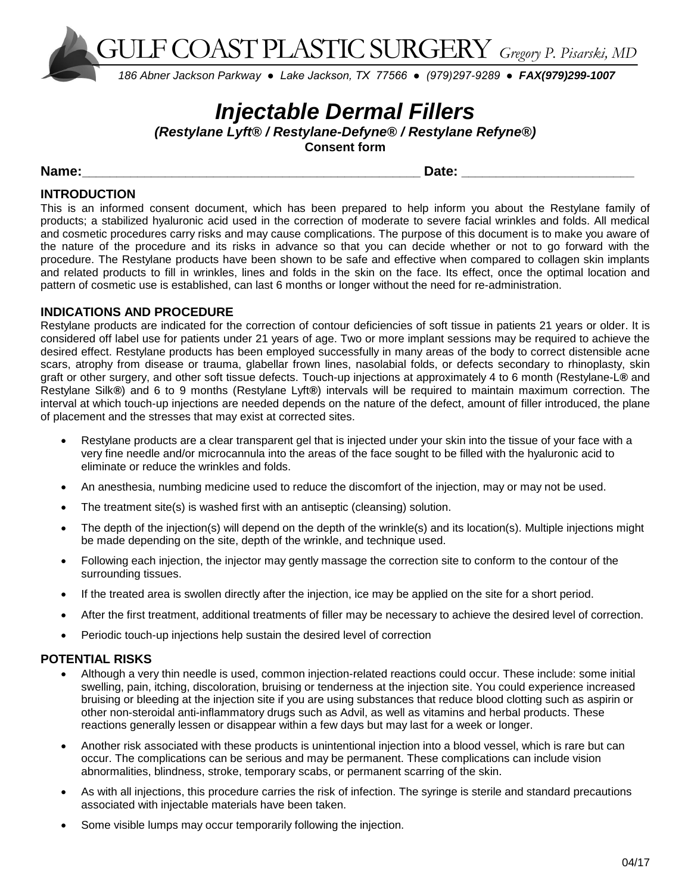GULF COAST PLASTIC SURGERY *Gregory P. Pisarski, MD*

*186 Abner Jackson Parkway ● Lake Jackson, TX 77566 ● (979)297-9289 ● FAX(979)299-1007* Ĭ

# *Injectable Dermal Fillers*

*(Restylane Lyft® / Restylane-Defyne® / Restylane Refyne®)*

**Consent form**

**Name:\_\_\_\_\_\_\_\_\_\_\_\_\_\_\_\_\_\_\_\_\_\_\_\_\_\_\_\_\_\_\_\_\_\_\_\_\_\_\_\_\_\_\_\_\_\_\_\_\_ Date: \_\_\_\_\_\_\_\_\_\_\_\_\_\_\_\_\_\_\_\_\_\_\_\_\_**

## **INTRODUCTION**

This is an informed consent document, which has been prepared to help inform you about the Restylane family of products; a stabilized hyaluronic acid used in the correction of moderate to severe facial wrinkles and folds. All medical and cosmetic procedures carry risks and may cause complications. The purpose of this document is to make you aware of the nature of the procedure and its risks in advance so that you can decide whether or not to go forward with the procedure. The Restylane products have been shown to be safe and effective when compared to collagen skin implants and related products to fill in wrinkles, lines and folds in the skin on the face. Its effect, once the optimal location and pattern of cosmetic use is established, can last 6 months or longer without the need for re-administration.

## **INDICATIONS AND PROCEDURE**

Restylane products are indicated for the correction of contour deficiencies of soft tissue in patients 21 years or older. It is considered off label use for patients under 21 years of age. Two or more implant sessions may be required to achieve the desired effect. Restylane products has been employed successfully in many areas of the body to correct distensible acne scars, atrophy from disease or trauma, glabellar frown lines, nasolabial folds, or defects secondary to rhinoplasty, skin graft or other surgery, and other soft tissue defects. Touch-up injections at approximately 4 to 6 month (Restylane-L*®* and Restylane Silk*®*) and 6 to 9 months (Restylane Lyft*®*) intervals will be required to maintain maximum correction. The interval at which touch-up injections are needed depends on the nature of the defect, amount of filler introduced, the plane of placement and the stresses that may exist at corrected sites.

- Restylane products are a clear transparent gel that is injected under your skin into the tissue of your face with a very fine needle and/or microcannula into the areas of the face sought to be filled with the hyaluronic acid to eliminate or reduce the wrinkles and folds.
- An anesthesia, numbing medicine used to reduce the discomfort of the injection, may or may not be used.
- The treatment site(s) is washed first with an antiseptic (cleansing) solution.
- The depth of the injection(s) will depend on the depth of the wrinkle(s) and its location(s). Multiple injections might be made depending on the site, depth of the wrinkle, and technique used.
- Following each injection, the injector may gently massage the correction site to conform to the contour of the surrounding tissues.
- If the treated area is swollen directly after the injection, ice may be applied on the site for a short period.
- After the first treatment, additional treatments of filler may be necessary to achieve the desired level of correction.
- Periodic touch-up injections help sustain the desired level of correction

# **POTENTIAL RISKS**

- Although a very thin needle is used, common injection-related reactions could occur. These include: some initial swelling, pain, itching, discoloration, bruising or tenderness at the injection site. You could experience increased bruising or bleeding at the injection site if you are using substances that reduce blood clotting such as aspirin or other non-steroidal anti-inflammatory drugs such as Advil, as well as vitamins and herbal products. These reactions generally lessen or disappear within a few days but may last for a week or longer.
- Another risk associated with these products is unintentional injection into a blood vessel, which is rare but can occur. The complications can be serious and may be permanent. These complications can include vision abnormalities, blindness, stroke, temporary scabs, or permanent scarring of the skin.
- As with all injections, this procedure carries the risk of infection. The syringe is sterile and standard precautions associated with injectable materials have been taken.
- Some visible lumps may occur temporarily following the injection.